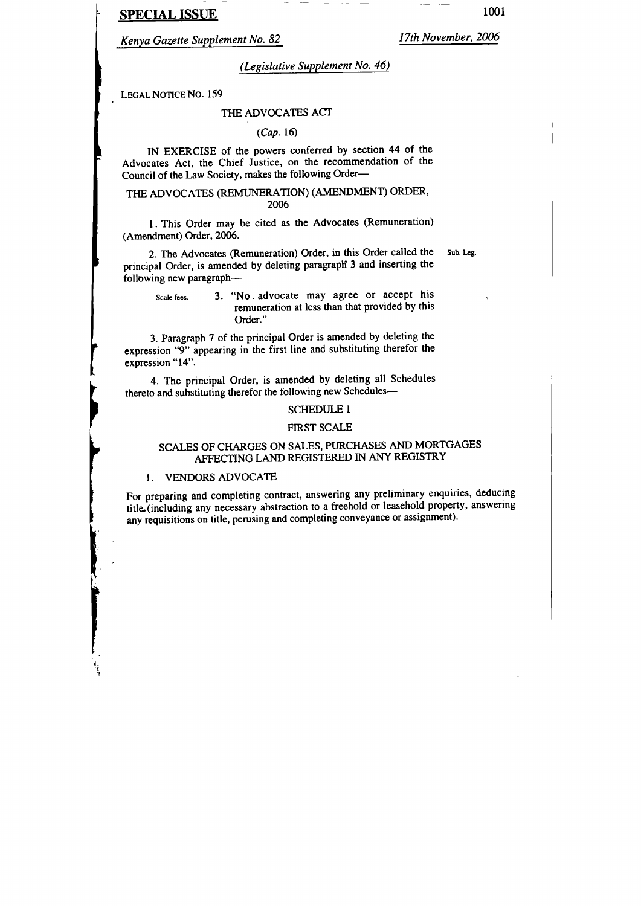# SPECIAL ISSUE

Kenya Gazette Supplement No. 82

lTth November,2006

# (Legislative Supplement No. 46)

LEGAL NOTICE NO. 159

#### THE ADVOCATES ACT

#### $(Cap. 16)$

IN EXERCISE of the powers confened by section 44 of the Advocates Act, the Chief Justice, on the recommendation of the Council of the Law Society, makes the following Order-

### THE ADVOCATES (REMUNERATION) (AMENDMENT) ORDER, 2006

1. This Order may be cited as the Advocates (Remuneration) (Amendment) Order, 2006.

2. The Advocates (Remuneration) Order, in this Order called the Sub. Leg. principal Order, is amended by deleting paragraph 3 and inserting the following new paragraph-

### scale fees. 3. "No . advocate may agree or accept his remuneration at less than that provided by this Order."

3. Paragraph 7 of the principal Order is amended by deleting the expression "9" appearing in the first line and substituting therefor the expression "14".

4. The principal Order, is amended by deleting all Schedules thereto and substituting therefor the following new Schedules-

#### SCHEDULE I

#### FIRST SCALE

# SCALES OF CHARGES ON SALES, PURCHASES AND MORTGAGES AFFECTING LAND REGISTERED IN ANY REGISTRY

#### I. VENDORSADVOCATE

I

I

I

I

t{

For preparing and completing contract, answering any preliminary enquiries, deducing title. (including any necessary abstraction to a freehold or leasehold property, answering any requisitions on title, perusing and completing conveyance or assignment).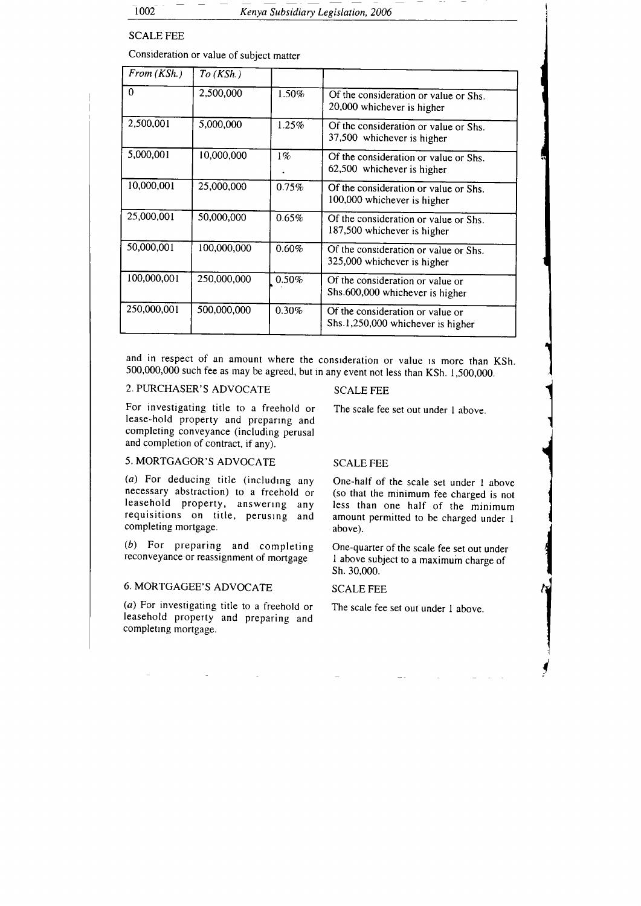# SCALE FEE

Consideration or value of subject matter

| From (KSh.) | $To$ (KSh.) |       |                                                                       |
|-------------|-------------|-------|-----------------------------------------------------------------------|
| $\bf{0}$    | 2,500,000   | 1.50% | Of the consideration or value or Shs.<br>20,000 whichever is higher   |
| 2,500,001   | 5,000,000   | 1.25% | Of the consideration or value or Shs.<br>37,500 whichever is higher   |
| 5,000,001   | 10,000,000  | $1\%$ | Of the consideration or value or Shs.<br>62,500 whichever is higher   |
| 10,000,001  | 25,000,000  | 0.75% | Of the consideration or value or Shs.<br>100,000 whichever is higher  |
| 25,000,001  | 50,000,000  | 0.65% | Of the consideration or value or Shs.<br>187,500 whichever is higher  |
| 50,000,001  | 100,000,000 | 0.60% | Of the consideration or value or Shs.<br>325,000 whichever is higher  |
| 100,000,001 | 250,000,000 | 0.50% | Of the consideration or value or<br>Shs.600,000 whichever is higher   |
| 250,000,001 | 500,000,000 | 0.30% | Of the consideration or value or<br>Shs.1,250,000 whichever is higher |

and in respect of an amount where the consideration or value is more than KSh. 500,000,000 such fee as may be agreed, but in any event not less than KSh. 1,500,000.

# 2. PURCHASER'S ADVOCATE

For investigating title to a freehold or lease-hold property and preparrng and completing conveyance (including perusal and completion of contract, if any).

# 5. MORTGAGOR'S ADVOCATE

 $(a)$  For deducing title (including any necessary abstraction) to a freehold or leasehold property, answering any requisitions on title, peruslng and completing mortgage.

(b) For preparing and completing reconveyance or reassignment of mortgage

# 6. MORTGAGEE'S ADVOCATE

(a) For investigating title to a freehold or The scale fee set out under I above. leasehold property and preparing and completing mortgage.

# SCALE FEE

The scale fee set out under I above.

I I

l

<sup>{</sup>

I

### SCALE FEE

One-half of the scale set under I above (so that the minimum fee charged is not Iess than one half of the minimum amount permitted to be charged under I above).

One-quarter of the scale fee set out under I above subject to a maximum charge of sh. 30,000.

SCALE FEE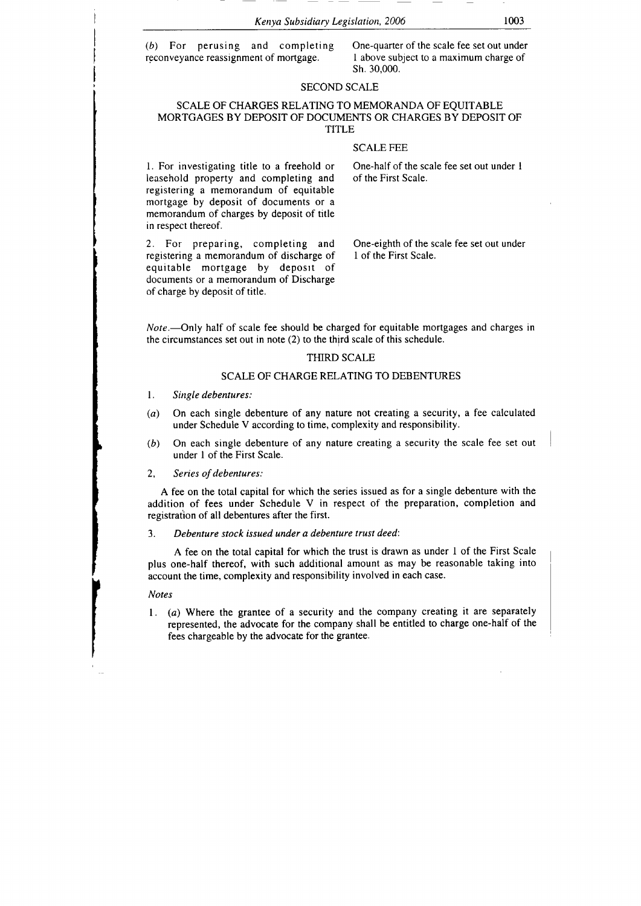(b) For perusing and completing One-quarter of the scale fee set out under reconvevance reassignment of mortgage.  $\frac{1}{2}$  above subject to a maximum charge of reconveyance reassignment of mortgage.

sh. 30,000.

#### SECOND SCALE

#### SCALE OF CHARGES RELATING TO MEMORANDA OF EQUITABLE MORTGAGES BY DEPOSIT OF DOCUMENTS OR CHARGES BY DEPOSIT OF TITLE

#### SCALE FEE

leasehold property and completing and of the First Scale. registering a memorandum of equitable mortgage by deposit of documents or <sup>a</sup> memorandum of charges by deposit of title in respect thereof.

2. For preparing, completing and One-eighth of the scale fee set out under registering a memorandum of discharge of 1 of the First Scale. registering a memorandum of discharge of equitable mortgage by deposit of documents or a memorandum of Discharge of charge by deposit of title.

l. For investigating title to a freehold or One-half of the scale fee set out under I

Note.—Only half of scale fee should be charged for equitable mortgages and charges in the circumstances set out in note (2) to the third scale of this schedule.

#### THIRD SCALE

#### SCALE OF CHARGE RELATING TO DEBENTURES

- l, Single debentures:
- (a) On each single debenture of any nature not creating a security, a fee calculated under Schedule V according to time, complexity and responsibility.
- (b) On each single debenture of any nature creating a security the scale fee set out under I of the First Scale.
- 2, Series of debentures:

A fee on the total capital for which the series issued as for a single debenture with the addition of fees under Schedule V in respect of the preparation, completion and registration of all debentures after the first.

3. Debenture stock issued under a debenture trust deed:

A fee on the total capital for which the trust is drawn as under I of the First Scale plus one-half thereof, with such additional amount as may be reasonable taking into account the time, complexity and responsibility involved in each case.

#### Notes

l. (a) Where the grantee of a security and the company creating it are separately represented, the advocate for the company shall be entitled to charge one-half of the fees chargeable by the advocate for the grantee.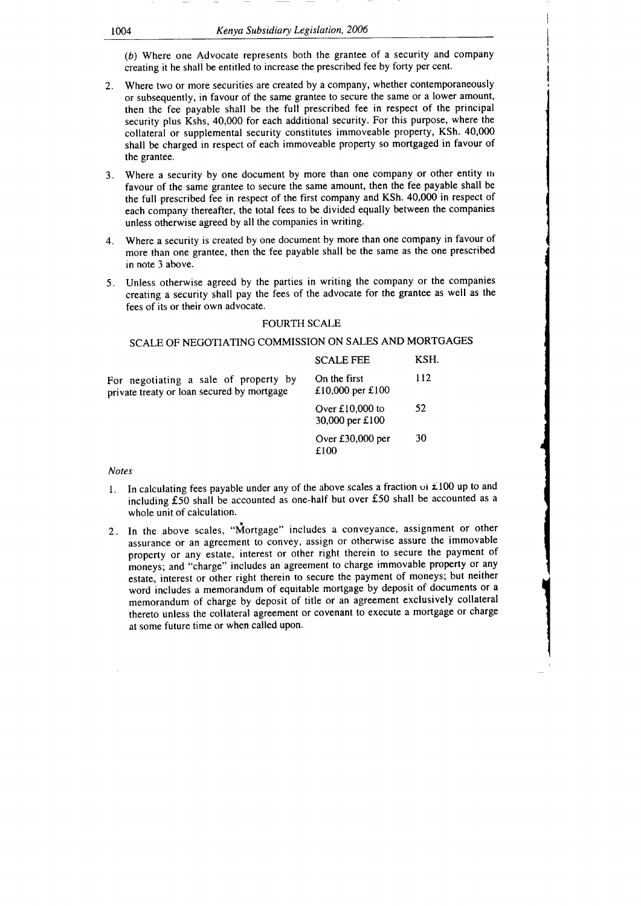(b) Where one Advocate represents both the grantee of a security and company creating it he shall be entitled to increase the prescribed fee by forty per cent.

- 2. Where two or more securities are created by a company, whether contemporaneously or subsequently, in favour of the same grantee to secure the same or a lower amount, then the fee payable shall be the full prescribed fee in respect of the principal security plus Kshs, 40,000 for each additional security. For this purpose, where the collateral or supplemental security constitutes immoveable property, KSh. 40,000 shall be charged in respect of each immoveable property so mortgaged in favour of the grantee.
- 3. Where a security by one document by more than one company or other entity in favour of the same grantee to secure the same amount, then the fee payable shall be the full prescribed fee in respect of the first company and KSh. 40,000 in respect of each company thereafter, the total fees to be divided equally between the companies unless otherwise agreed by all the companies in writing.
- 4. Where a security is created by one document by more than one company in favour of more than one grantee, then the fee payable shall be the same as the one prescribed in note 3 above.
- 5. Unless otherwise agreed by the parties in writing the company or the companies creating a security shall pay the fees of the advocate for the grantee as well as the fees of its or their own advocate.

#### FOURTH SCALE

### SCALE OF NEGOTIATING COMMISSION ON SALES AND MORTGAGES

|                                                                                     | <b>SCALE FEE</b>                     | KSH. |
|-------------------------------------------------------------------------------------|--------------------------------------|------|
| For negotiating a sale of property by<br>private treaty or loan secured by mortgage | On the first<br>£10,000 per £100     | 112  |
|                                                                                     | Over $£10,000$ to<br>30,000 per £100 | 52   |
|                                                                                     | Over £30,000 per<br>£100             | 30   |

#### Notes

- In calculating fees payable under any of the above scales a fraction  $\cot \angle 100$  up to and including f50 shall be accounted as one-half but over f50 shall be accounted as <sup>a</sup> whole unit of calculation.
- 2. In the above scales, "Mortgage" includes a conveyance, assignment or other assurance or an agreement to convey, assign or otherwise assure the immovable property or any estate, interest or other right therein to secure the payment of moneys; and "charge" includes an agreement to charge immovable property or any estate, interest or olher right therein to secure the payment of moneys; but neither word includes a memorandum of equitable mortgage by deposit of documents or <sup>a</sup> memorandum of charge by deposit of title or an agreement exclusively collateral thereto unless the collateral agreement or covenant to execute a mortgage or charge at some future time or when called upon.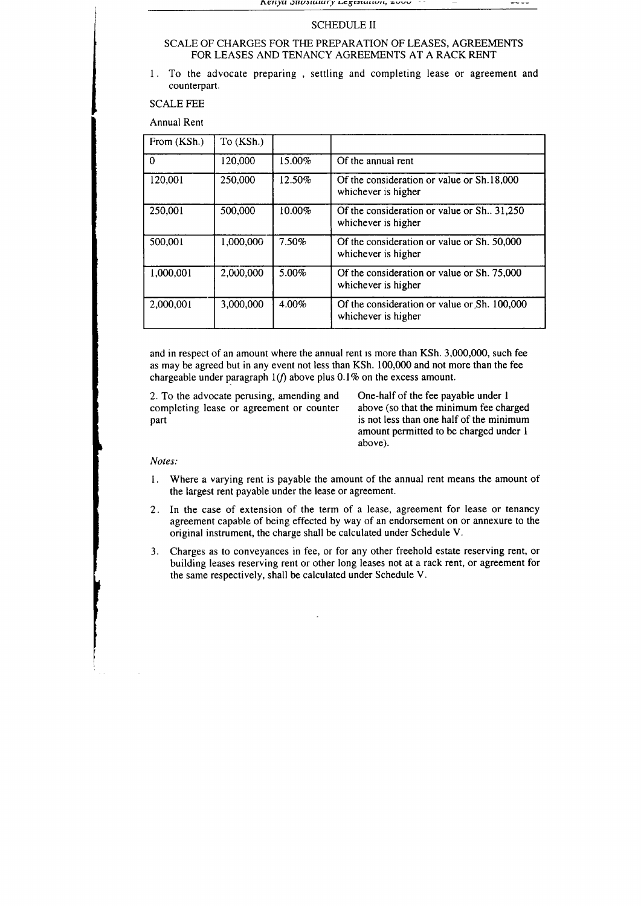#### SCHEDULE II

#### SCALE OF CHARGES FOR THE PREPARATION OF LEASES, AGREEMENTS FOR LEASES AND TENANCY AGREEMENTS AT A RACK RENT

<sup>I</sup>. To the advocate preparing , settling and completing lease or agreement and counterpart.

SCALE FEE

Annual Rent

| From (KSh.) | To (KSh.) |           |                                                                     |
|-------------|-----------|-----------|---------------------------------------------------------------------|
| 0           | 120,000   | 15.00%    | Of the annual rent                                                  |
| 120,001     | 250,000   | 12.50%    | Of the consideration or value or Sh.18,000<br>whichever is higher   |
| 250,001     | 500,000   | $10.00\%$ | Of the consideration or value or Sh., 31,250<br>whichever is higher |
| 500,001     | 1,000,000 | 7.50%     | Of the consideration or value or Sh. 50,000<br>whichever is higher  |
| 1,000,001   | 2,000,000 | 5.00%     | Of the consideration or value or Sh. 75,000<br>whichever is higher  |
| 2,000,001   | 3,000,000 | $4.00\%$  | Of the consideration or value or Sh. 100,000<br>whichever is higher |

and in respect of an amount where the annual rent rs more than KSh. 3,000,000, such fee as may be agreed but in any event not less than KSh. 100,000 and not more than the fee chargeable under paragraph  $1(f)$  above plus 0.1% on the excess amount.

2. To the advocate perusing, amending and One-half of the fee payable under 1 completing lease or agreement or counter above (so that the minimum fee charged completing lease or agreement or counter part

is not less than one half of the minimum amount permitted to be charged under I above).

#### Notes:

- l. Where a varying rent is payable the amount of the annual rent means the amount of the largest rent payable under the lease or agreement.
- 2. In the case of extension of the term of a lease, agreement for lease or tenancy agreement capable of being effected by way of an endorsement on or annexure to the original instrument, the charge shall be calculated under Schedule V.
- 3. Charges as to conveyances in fee, or for any other freehold estate reserving rent, or building leases reserving rent or other long leases not at a rack rent, or agreement for the same respectively, shall be calculated under Schedule V.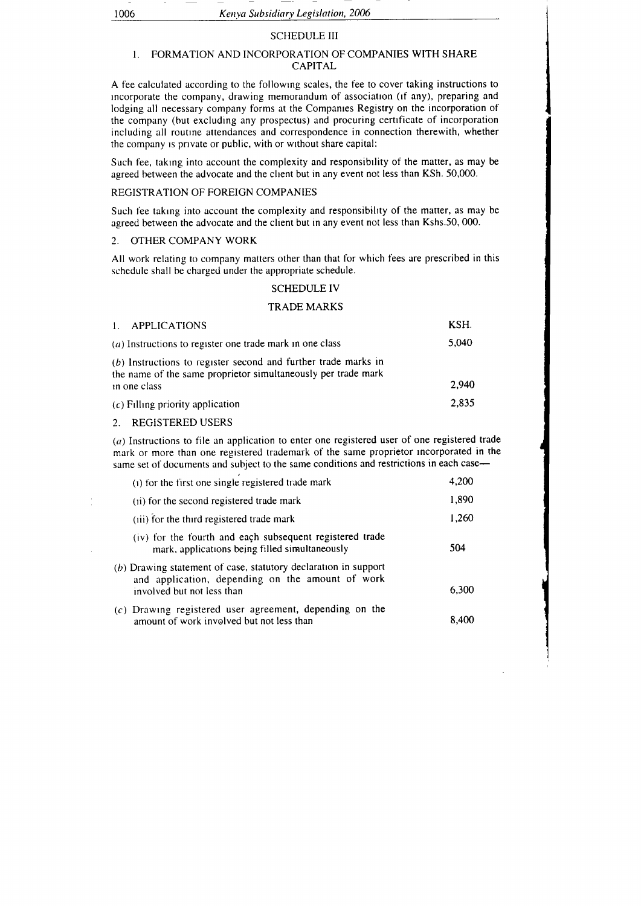#### SCHEDULE III

### I. FORMATION AND INCORPORATION OF COMPANIES WITH SHARE CAPITAL

A fee calculated according to the following scales, the fee to cover taking instructions to incorporate the company, drawing memorandum of association (if any), preparing and lodging all necessary company forms at the Companies Registry on the incorporation of the company (but excluding any prospectus) and procuring certrficate of incorporation including all routrne attendances and correspondence in connection therewith, whether the company is private or public, with or without share capital:

Such fee, taking into account the complexity and responsibility of the matter, as may be agreed between the advocate and the client but in any event not less than KSh. 50,000.

### REGISTRATION OF FOREIGN COMPANIES

Such fee taking into account the complexity and responsibility of the matter, as may be agreed between the advocate and the client but in any event not less than Kshs.50, 000.

#### 2. OTHER COMPANY WORK

All work relating to company matters other than that for which fees are prescribed in this schedule shall be charged under the appropriate schedule.

#### SCHEDULE IV

### TRADE MARKS

| 1. APPLICATIONS                                                                                                                   | KSH.  |
|-----------------------------------------------------------------------------------------------------------------------------------|-------|
| (a) Instructions to register one trade mark in one class                                                                          | 5.040 |
| $(b)$ Instructions to register second and further trade marks in<br>the name of the same proprietor simultaneously per trade mark |       |
| in one class                                                                                                                      | 2.940 |
| $(c)$ Filling priority application                                                                                                | 2.835 |

2. REGISTERED USERS

 $(a)$  Instructions to file an application to enter one registered user of one registered trade mark or more than one registered trademark of the same proprietor incorporated in the same set of documents and subject to the same conditions and restrictions in each case-

| (i) for the first one single registered trade mark                                                                                                  | 4,200 |
|-----------------------------------------------------------------------------------------------------------------------------------------------------|-------|
| (ii) for the second registered trade mark                                                                                                           | 1,890 |
| (iii) for the third registered trade mark                                                                                                           | 1,260 |
| (iv) for the fourth and each subsequent registered trade<br>mark, applications being filled simultaneously                                          | 504   |
| $(b)$ Drawing statement of case, statutory declaration in support<br>and application, depending on the amount of work<br>involved but not less than | 6.300 |
| $(c)$ Drawing registered user agreement, depending on the<br>amount of work involved but not less than                                              | 8.400 |

I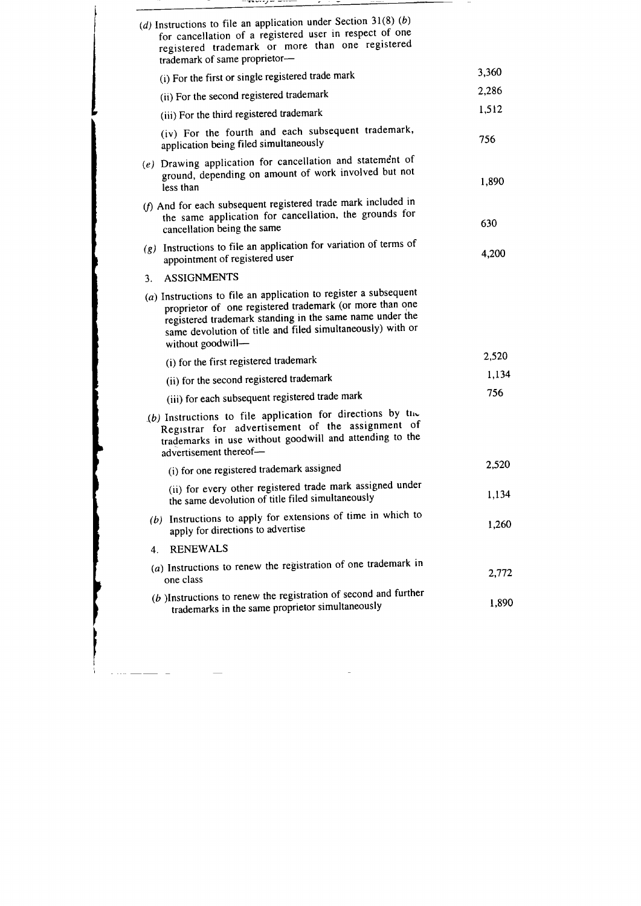| (d) Instructions to file an application under Section 31(8) $(b)$<br>for cancellation of a registered user in respect of one<br>registered trademark or more than one registered<br>trademark of same proprietor-                                                             |       |
|-------------------------------------------------------------------------------------------------------------------------------------------------------------------------------------------------------------------------------------------------------------------------------|-------|
| (i) For the first or single registered trade mark                                                                                                                                                                                                                             | 3,360 |
| (ii) For the second registered trademark                                                                                                                                                                                                                                      | 2,286 |
| (iii) For the third registered trademark                                                                                                                                                                                                                                      | 1,512 |
| (iv) For the fourth and each subsequent trademark,<br>application being filed simultaneously                                                                                                                                                                                  | 756   |
| (e) Drawing application for cancellation and statement of<br>ground, depending on amount of work involved but not<br>less than                                                                                                                                                | 1,890 |
| (f) And for each subsequent registered trade mark included in<br>the same application for cancellation, the grounds for<br>cancellation being the same                                                                                                                        | 630   |
| (g) Instructions to file an application for variation of terms of<br>appointment of registered user                                                                                                                                                                           | 4,200 |
| <b>ASSIGNMENTS</b><br>3.                                                                                                                                                                                                                                                      |       |
| $(a)$ Instructions to file an application to register a subsequent<br>proprietor of one registered trademark (or more than one<br>registered trademark standing in the same name under the<br>same devolution of title and filed simultaneously) with or<br>without goodwill- |       |
| (i) for the first registered trademark                                                                                                                                                                                                                                        | 2,520 |
| (ii) for the second registered trademark                                                                                                                                                                                                                                      | 1,134 |
| (iii) for each subsequent registered trade mark                                                                                                                                                                                                                               | 756   |
| (b) Instructions to file application for directions by the<br>Registrar for advertisement of the assignment of<br>trademarks in use without goodwill and attending to the<br>advertisement thereof-                                                                           |       |
| (i) for one registered trademark assigned                                                                                                                                                                                                                                     | 2,520 |
| (ii) for every other registered trade mark assigned under<br>the same devolution of title filed simultaneously                                                                                                                                                                | 1,134 |
| (b) Instructions to apply for extensions of time in which to<br>apply for directions to advertise                                                                                                                                                                             | 1,260 |
| <b>RENEWALS</b><br>4.                                                                                                                                                                                                                                                         |       |
| $(a)$ Instructions to renew the registration of one trademark in<br>one class                                                                                                                                                                                                 | 2,772 |
| $(b)$ Instructions to renew the registration of second and further<br>trademarks in the same proprietor simultaneously                                                                                                                                                        | 1,890 |

 $\mathcal{L}^{\text{max}}_{\text{max}}$ 

 $\cdots$  ,  $-$ 

t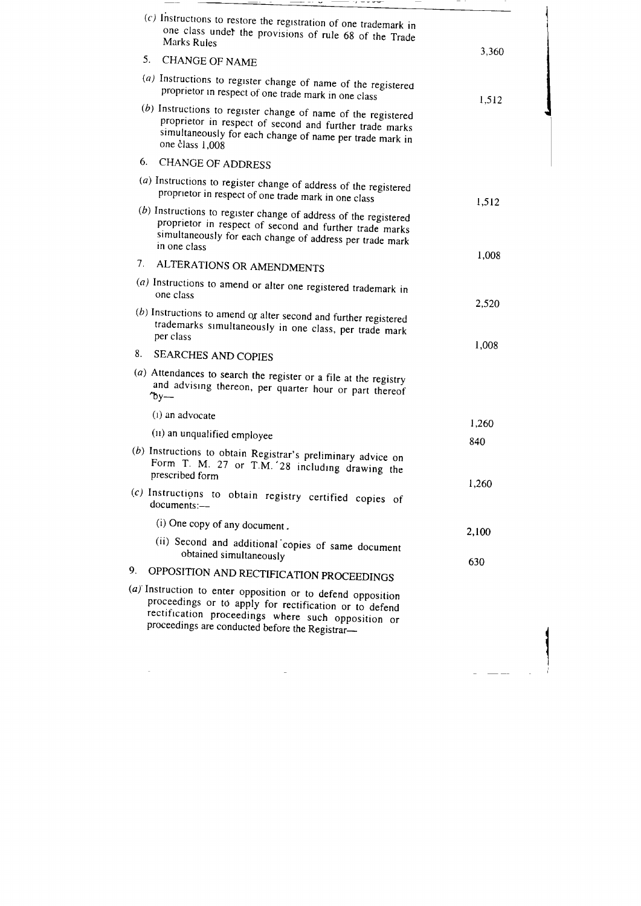|             | (a) Instruction to enter opposition or to defend opposition<br>proceedings or to apply for rectification or to defend<br>rectification proceedings where such opposition or<br>proceedings are conducted before the Registrar- |       |
|-------------|--------------------------------------------------------------------------------------------------------------------------------------------------------------------------------------------------------------------------------|-------|
| 9.          | OPPOSITION AND RECTIFICATION PROCEEDINGS                                                                                                                                                                                       |       |
|             | (ii) Second and additional copies of same document<br>obtained simultaneously                                                                                                                                                  | 630   |
|             | (i) One copy of any document.                                                                                                                                                                                                  | 2,100 |
|             | (c) Instructions to obtain registry certified copies of<br>documents:-                                                                                                                                                         |       |
|             | (b) Instructions to obtain Registrar's preliminary advice on<br>Form T. M. 27 or T.M. 28 including drawing the<br>prescribed form                                                                                              | 1,260 |
|             | (11) an unqualified employee                                                                                                                                                                                                   | 840   |
|             | (1) an advocate                                                                                                                                                                                                                | 1,260 |
|             | (a) Attendances to search the register or a file at the registry<br>and advising thereon, per quarter hour or part thereof<br>$y -$                                                                                            |       |
| 8.          | <b>SEARCHES AND COPIES</b>                                                                                                                                                                                                     |       |
|             | $(b)$ Instructions to amend or alter second and further registered<br>trademarks simultaneously in one class, per trade mark<br>per class                                                                                      | 1,008 |
|             | (a) Instructions to amend or alter one registered trademark in<br>one class                                                                                                                                                    | 2,520 |
|             | ALTERATIONS OR AMENDMENTS                                                                                                                                                                                                      |       |
| $7_{\cdot}$ | $(b)$ Instructions to register change of address of the registered<br>proprietor in respect of second and further trade marks<br>simultaneously for each change of address per trade mark<br>in one class                      | 1,008 |
|             | (a) Instructions to register change of address of the registered<br>proprietor in respect of one trade mark in one class                                                                                                       | 1,512 |
| 6.          | <b>CHANGE OF ADDRESS</b>                                                                                                                                                                                                       |       |
|             | $(b)$ Instructions to register change of name of the registered<br>proprietor in respect of second and further trade marks<br>simultaneously for each change of name per trade mark in<br>one class 1,008                      |       |
|             | (a) Instructions to register change of name of the registered<br>proprietor in respect of one trade mark in one class                                                                                                          | 1,512 |
|             | <b>CHANGE OF NAME</b>                                                                                                                                                                                                          |       |
| 5.          | $(c)$ Instructions to restore the registration of one trademark in<br>one class under the provisions of rule 68 of the Trade<br><b>Marks Rules</b>                                                                             | 3,360 |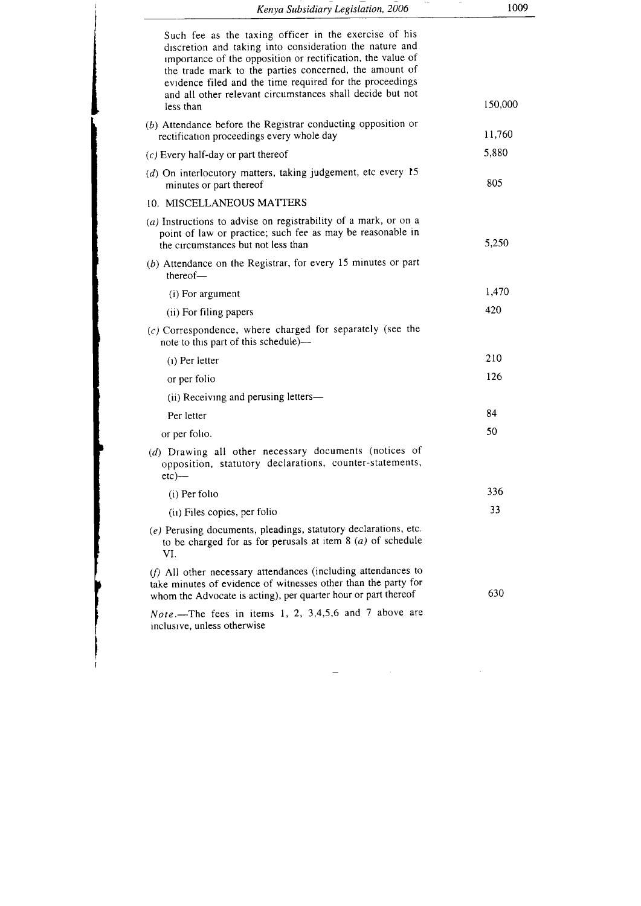| Kenya Subsidiary Legislation, 2006                                                                                                                                                                                                                                                                                                                                              | 1009    |
|---------------------------------------------------------------------------------------------------------------------------------------------------------------------------------------------------------------------------------------------------------------------------------------------------------------------------------------------------------------------------------|---------|
| Such fee as the taxing officer in the exercise of his<br>discretion and taking into consideration the nature and<br>importance of the opposition or rectification, the value of<br>the trade mark to the parties concerned, the amount of<br>evidence filed and the time required for the proceedings<br>and all other relevant circumstances shall decide but not<br>less than | 150,000 |
| (b) Attendance before the Registrar conducting opposition or<br>rectification proceedings every whole day                                                                                                                                                                                                                                                                       | 11,760  |
| $(c)$ Every half-day or part thereof                                                                                                                                                                                                                                                                                                                                            | 5,880   |
| ( $d$ ) On interlocutory matters, taking judgement, etc every 15<br>minutes or part thereof                                                                                                                                                                                                                                                                                     | 805     |
| 10. MISCELLANEOUS MATTERS                                                                                                                                                                                                                                                                                                                                                       |         |
| $(a)$ Instructions to advise on registrability of a mark, or on a<br>point of law or practice; such fee as may be reasonable in<br>the circumstances but not less than                                                                                                                                                                                                          | 5,250   |
| $(b)$ Attendance on the Registrar, for every 15 minutes or part<br>thereof                                                                                                                                                                                                                                                                                                      |         |
| (i) For argument                                                                                                                                                                                                                                                                                                                                                                | 1,470   |
| (ii) For filing papers                                                                                                                                                                                                                                                                                                                                                          | 420     |
| $(c)$ Correspondence, where charged for separately (see the<br>note to this part of this schedule)—                                                                                                                                                                                                                                                                             |         |
| $(i)$ Per letter                                                                                                                                                                                                                                                                                                                                                                | 210     |
| or per folio                                                                                                                                                                                                                                                                                                                                                                    | 126     |
| (ii) Receiving and perusing letters—                                                                                                                                                                                                                                                                                                                                            |         |
| Per letter                                                                                                                                                                                                                                                                                                                                                                      | 84      |
| or per folio.                                                                                                                                                                                                                                                                                                                                                                   | 50      |
| (d) Drawing all other necessary documents (notices of<br>opposition, statutory declarations, counter-statements,<br>$etc)$ —                                                                                                                                                                                                                                                    |         |
| $(i)$ Per folio                                                                                                                                                                                                                                                                                                                                                                 | 336     |
| (ii) Files copies, per folio                                                                                                                                                                                                                                                                                                                                                    | 33      |
| (e) Perusing documents, pleadings, statutory declarations, etc.<br>to be charged for as for perusals at item $8(a)$ of schedule<br>VI.                                                                                                                                                                                                                                          |         |
| (f) All other necessary attendances (including attendances to<br>take minutes of evidence of witnesses other than the party for<br>whom the Advocate is acting), per quarter hour or part thereof                                                                                                                                                                               | 630     |
| <i>Note</i> .- The fees in items 1, 2, 3,4,5,6 and 7 above are<br>inclusive, unless otherwise                                                                                                                                                                                                                                                                                   |         |

 $\label{eq:2.1} \mathcal{L}_{\mathcal{A}}(x) = \mathcal{L}_{\mathcal{A}}(x) \mathcal{L}_{\mathcal{A}}(x) \mathcal{L}_{\mathcal{A}}(x) \mathcal{L}_{\mathcal{A}}(x) \mathcal{L}_{\mathcal{A}}(x) \mathcal{L}_{\mathcal{A}}(x)$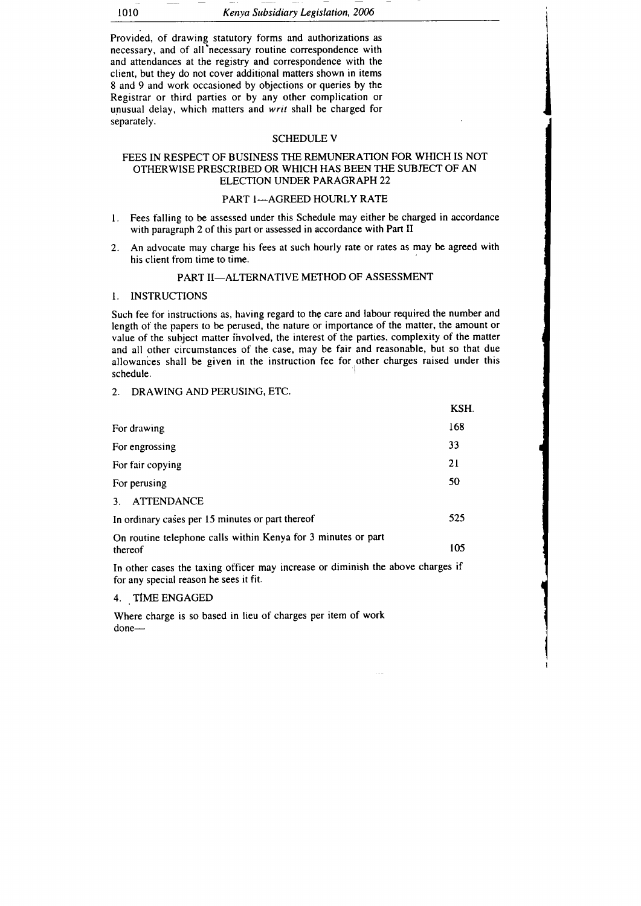l010 Kenya Subsidiary Legislation, 2006

Provided, of drawing statutory forms and authorizations as necessary, and of all'necessary routine correspondence with and attendances at the registry and correspondence with the client, but they do not cover additipnal matters shown in items 8 and 9 and work occasioned by objections or gueries by the Registrar or third parties or by any other complication or unusual delay, which matters and writ shall be charged for separately.

#### SCHEDULE V

### FEES IN RESPECT OF BUSINESS THE REMUNERATION FOR WHICH IS NOT OTHERWISE PRESCRIBED OR WHICH HAS BEEN THE SUBJECT OF AN ELECTION UNDER PARAGRAPH 22

# PART I-AGREED HOURLY RATE

- l. Fees talling to be assessed under this Schedule may either be charged in accordance with paragraph 2 of this part or assessed in accordance with Part II
- 2. An advocate may charge his fees at such hourly rate or rates as may be agreed with his client from time to time.

### PART II-ALTERNATIVE METHOD OF ASSESSMENT

#### I. INSTRUCTIONS

Such fee for instructions as, having regard to the care and labour required the number and length of the papers to be perused, the nature or importance of the matter, the amount or value of the subject matter ihvolved, the interest of the parties, complexity of the matter and all other circumstances of the case, may be fair and reasonable, but so that due allowances shall be given in the instruction fee for other charges raised under this schedule.

#### 2. DRAWING AND PERUSING, ETC.

|                                                                                                                                                                                                                                     | KSH. |
|-------------------------------------------------------------------------------------------------------------------------------------------------------------------------------------------------------------------------------------|------|
| For drawing                                                                                                                                                                                                                         | 168  |
| For engrossing                                                                                                                                                                                                                      | 33   |
| For fair copying                                                                                                                                                                                                                    | 21   |
| For perusing                                                                                                                                                                                                                        | 50   |
| <b>ATTENDANCE</b><br>3.                                                                                                                                                                                                             |      |
| In ordinary cases per 15 minutes or part thereof                                                                                                                                                                                    | 525  |
| On routine telephone calls within Kenya for 3 minutes or part<br>thereof                                                                                                                                                            | 105  |
| <b>T</b> all the state of the second construction of the indicate of the state of the state of the state of the state of the state of the state of the state of the state of the state of the state of the state of the state of th |      |

In other cases the taxing officer may increase or diminish the above charges if for any special reason he sees it fit.

# 4. . TIME ENGAGED

Where charge is so based in lieu of charges per item of work done-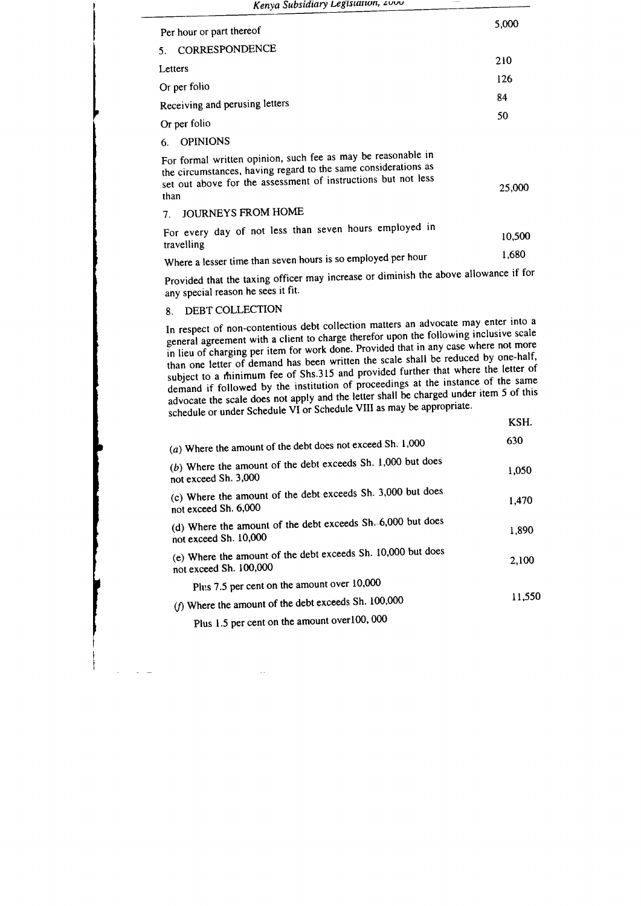| Kenya Subsidiary Legislation, 2000                                                                                                                                                                      |        |
|---------------------------------------------------------------------------------------------------------------------------------------------------------------------------------------------------------|--------|
| Per hour or part thereof                                                                                                                                                                                | 5,000  |
| CORRESPONDENCE<br>5.                                                                                                                                                                                    |        |
| Letters                                                                                                                                                                                                 | 210    |
| Or per folio                                                                                                                                                                                            | 126    |
| Receiving and perusing letters                                                                                                                                                                          | 84     |
|                                                                                                                                                                                                         | 50     |
| Or per folio                                                                                                                                                                                            |        |
| <b>OPINIONS</b><br>6.                                                                                                                                                                                   |        |
| For formal written opinion, such fee as may be reasonable in<br>the circumstances, having regard to the same considerations as<br>set out above for the assessment of instructions but not less<br>than | 25,000 |
| <b>JOURNEYS FROM HOME</b><br>7.                                                                                                                                                                         |        |
| For every day of not less than seven hours employed in<br>travelling                                                                                                                                    | 10,500 |
| Where a lesser time than seven hours is so employed per hour                                                                                                                                            | 1,680  |

provided that the taxing officer may increase or diminish the above allowance if for any special reason he sees it fit.

# 8. DEBT COLLECTION

In respect of non-contentious debt collection matters an advocate may enter into a general agreement with a client to charge therefor upon the following inclusive scale in lieu of charging per item for work done. Provided that in any case where not more than one letter of demand has been written the scale shall be reduced by one-half, subject to a minimum fee of Shs.315 and provided further that where the letter of demand if followed by the institution of proceedings at the instance of the same advocate the scale does not apply and the letter shall be charged under item 5 of this schedule or under Schedule VI or Schedule VIII as may be appropriate.

KSH.

| (a) Where the amount of the debt does not exceed Sh. $1,000$                                                                                                                                                                   | 630    |
|--------------------------------------------------------------------------------------------------------------------------------------------------------------------------------------------------------------------------------|--------|
| (b) Where the amount of the debt exceeds Sh. 1,000 but does<br>not exceed Sh. 3,000                                                                                                                                            | 1,050  |
| (c) Where the amount of the debt exceeds Sh. 3,000 but does<br>not exceed Sh. 6,000                                                                                                                                            | 1,470  |
| (d) Where the amount of the debt exceeds Sh. 6,000 but does<br>not exceed Sh. 10,000                                                                                                                                           | 1,890  |
| (e) Where the amount of the debt exceeds Sh. 10,000 but does<br>not exceed Sh. 100,000                                                                                                                                         | 2,100  |
| Plus 7.5 per cent on the amount over 10,000                                                                                                                                                                                    |        |
| ( $f$ ) Where the amount of the debt exceeds Sh. 100,000                                                                                                                                                                       | 11.550 |
| $\sim$ 0.000 0.000 0.000 0.000 0.000 0.000 0.000 0.000 0.000 0.000 0.000 0.000 0.000 0.000 0.000 0.000 0.000 0.000 0.000 0.000 0.000 0.000 0.000 0.000 0.000 0.000 0.000 0.000 0.000 0.000 0.000 0.000 0.000 0.000 0.000 0.000 |        |

Plus 1.5 per cent on the amount overloo, 000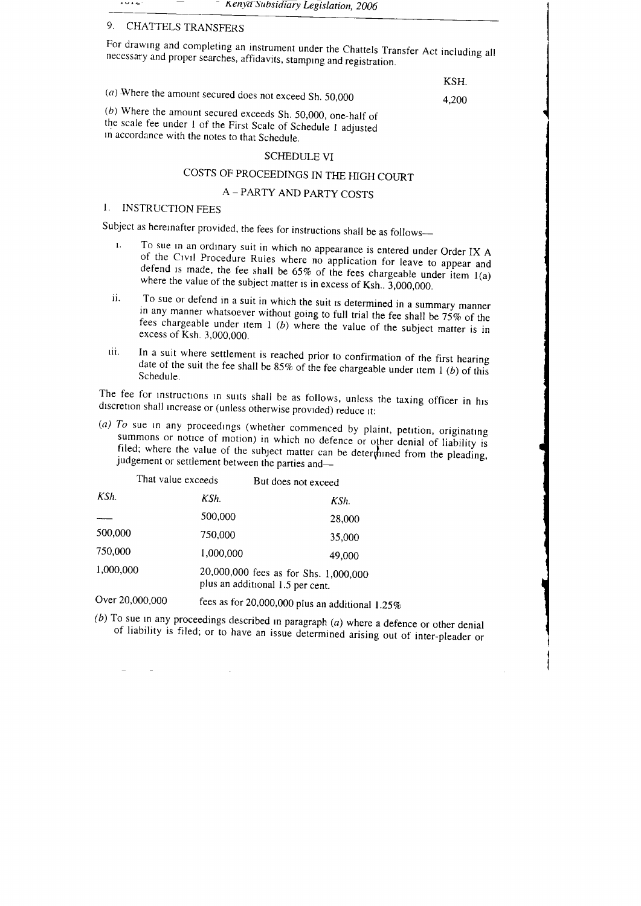$1014$ Kenya Subsidiary Legislation, 2006

# 9, CHATTELS TRANSFERS

For drawing and completing an instrument under the Chattels Transfer Act including all necessary and proper searches, affidavits, stamping and registration.

KSH.

i

**!** 

I

i I I I

I

i

(a) Where the amount secured does not exceed Sh. 50,000  $(4,200)$ <br>(b) Where the amount secured exceeds Sh. 50,000, one-half of the scale fee under 1 of the First Scale of Schedule 1 adjusted rn accordance with the notes to that Schedule.

### SCHEDULE VI

# COSTS OF PROCEEDINGS IN THE HIGH COURT

# A - PARTY AND PARTY COSTS

# I. INSTRUCTION FEES

- Subject as hereinafter provided, the fees for instructions shall be as follows---<br>1. To sue in an ordinary suit in which no appearance is entered under Order IX A <sup>1</sup> To sue in an ordinary suit in which no appearance is entered under Order IX A of the Civil Procedure Rules where no application for leave to appear and defend is made, the fee shall be 65% of the fees chargeable under
	- ii. To sue or defend in a suit in which the suit is determined in a summary manner<br>in any manner whatsoever without going to full trial the fee shall be 75% of the<br>fees chargeable under item 1 (b) where the value of the s
- tii. In a suit where settlement is reached prior to confirmation of the first hearing date of the suit the fee shall be 85% of the fee chargeable under item  $I(b)$  of this Schedule.

The fee for instructions in surts shall be as follows, unless the taxing officer in his discretion shall increase or (unless otherwise provided) reduce it:

(a) To sue in any proceedings (whether commenced by plaint, petition, originating summons or notice of motion) in which no defence or other denial of liability is filed; where the value of the subject matter can be determined from the pleading, judgement or settlement between the parties and—

|                   | That value exceeds                                                        | But does not exceed |  |
|-------------------|---------------------------------------------------------------------------|---------------------|--|
| KSh.              | KSh.                                                                      | KSh.                |  |
|                   | 500,000                                                                   | 28,000              |  |
| 500,000           | 750,000                                                                   | 35,000              |  |
| 750,000           | 1,000,000                                                                 | 49,000              |  |
| 1,000,000         | 20,000,000 fees as for Shs. 1,000,000<br>plus an additional 1.5 per cent. |                     |  |
| $\sim$ 00.000 000 |                                                                           |                     |  |

fees as for 20,000,000 plus an additional  $1.25\%$ Over 20,000,000

So sue in any proceedings described in paragraph  $(a)$  where a defence or other denial of liability is filed; or to have an issue determined arising out of inter-pleader or  $(b)$  To sue in any proceedings described in paragraph  $(a)$  where a defence or other denial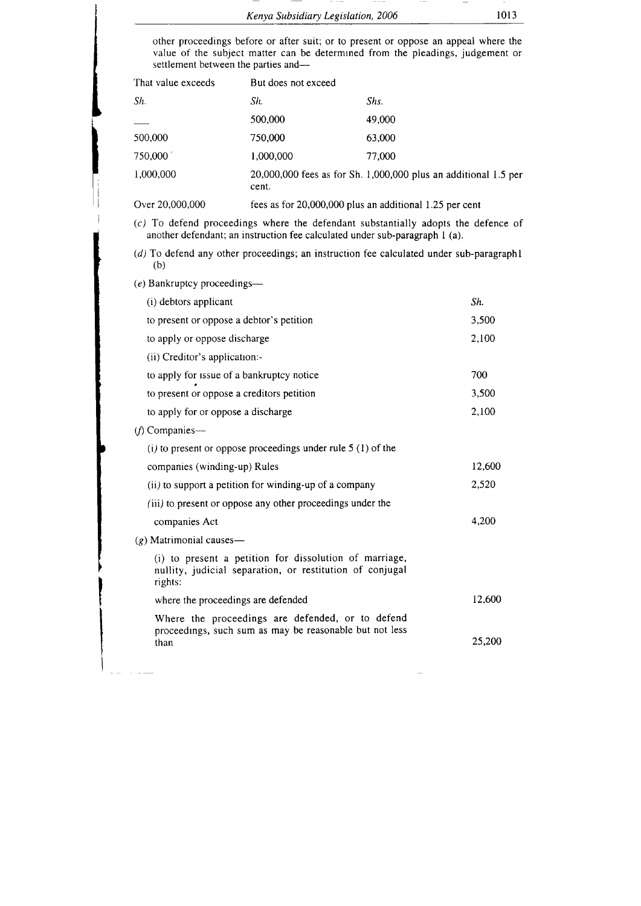| Kenya Subsidiary Legislation, 2006 |  |  | 1013 |
|------------------------------------|--|--|------|

other proceedings before or after suit; or to present or oppose an appeal where the value of the subject matter can be determrned from the pleadings, judgement or settlement between the parties and-

| That value exceeds | But does not exceed |                                                                 |
|--------------------|---------------------|-----------------------------------------------------------------|
| Sh.                | Sh.                 | Shs.                                                            |
|                    | 500,000             | 49,000                                                          |
| 500,000            | 750,000             | 63,000                                                          |
| 750,000            | 1,000,000           | 77,000                                                          |
| 1,000,000          | cent.               | 20,000,000 fees as for Sh. 1,000,000 plus an additional 1.5 per |
| Over 20,000,000    |                     | fees as for 20,000,000 plus an additional 1.25 per cent         |

(c) To defend proceedings where the defendant substantially adopts the defence of another defendant; an instruction fee calculated under sub-paragraph I (a).

 $(d)$  To defend any other proceedings; an instruction fee calculated under sub-paragraphl (b)

(e) Bankruptcy proceedings-

| (i) debtors applicant                                                                                                         | Sh.    |
|-------------------------------------------------------------------------------------------------------------------------------|--------|
| to present or oppose a debtor's petition                                                                                      | 3,500  |
| to apply or oppose discharge                                                                                                  | 2,100  |
| (ii) Creditor's application:-                                                                                                 |        |
| to apply for issue of a bankruptcy notice                                                                                     | 700    |
| to present or oppose a creditors petition                                                                                     | 3,500  |
| to apply for or oppose a discharge                                                                                            | 2,100  |
| $(f)$ Companies—                                                                                                              |        |
| (i) to present or oppose proceedings under rule $5(1)$ of the                                                                 |        |
| companies (winding-up) Rules                                                                                                  | 12,600 |
| (ii) to support a petition for winding-up of a company                                                                        | 2.520  |
| (iii) to present or oppose any other proceedings under the                                                                    |        |
| companies Act                                                                                                                 | 4,200  |
| $(g)$ Matrimonial causes—                                                                                                     |        |
| (i) to present a petition for dissolution of marriage,<br>nullity, judicial separation, or restitution of conjugal<br>rights: |        |
| where the proceedings are defended                                                                                            | 12.600 |
| Where the proceedings are defended, or to defend                                                                              |        |
| proceedings, such sum as may be reasonable but not less<br>than                                                               | 25,200 |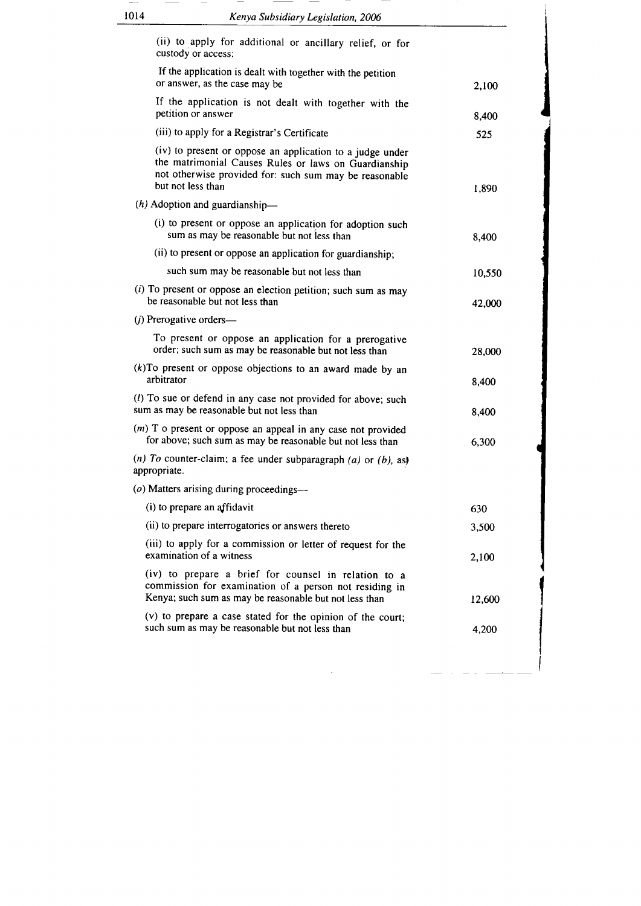| (ii) to apply for additional or ancillary relief, or for<br>custody or access:<br>If the application is dealt with together with the petition<br>or answer, as the case may be<br>If the application is not dealt with together with the<br>petition or answer<br>(iii) to apply for a Registrar's Certificate<br>(iv) to present or oppose an application to a judge under<br>the matrimonial Causes Rules or laws on Guardianship<br>not otherwise provided for: such sum may be reasonable<br>but not less than<br>$(h)$ Adoption and guardianship-<br>(i) to present or oppose an application for adoption such<br>sum as may be reasonable but not less than<br>(ii) to present or oppose an application for guardianship;<br>such sum may be reasonable but not less than<br>$(i)$ To present or oppose an election petition; such sum as may<br>be reasonable but not less than<br>$(j)$ Prerogative orders—<br>To present or oppose an application for a prerogative<br>order; such sum as may be reasonable but not less than<br>$(k)$ To present or oppose objections to an award made by an<br>arbitrator<br>(l) To sue or defend in any case not provided for above; such<br>sum as may be reasonable but not less than<br>(m) T o present or oppose an appeal in any case not provided<br>for above; such sum as may be reasonable but not less than<br>(n) To counter-claim; a fee under subparagraph (a) or (b), as)<br>appropriate.<br>(o) Matters arising during proceedings-<br>(i) to prepare an affidavit<br>630<br>(ii) to prepare interrogatories or answers thereto<br>(iii) to apply for a commission or letter of request for the<br>examination of a witness | 1014 | Kenya Subsidiary Legislation, 2006                   |        |
|----------------------------------------------------------------------------------------------------------------------------------------------------------------------------------------------------------------------------------------------------------------------------------------------------------------------------------------------------------------------------------------------------------------------------------------------------------------------------------------------------------------------------------------------------------------------------------------------------------------------------------------------------------------------------------------------------------------------------------------------------------------------------------------------------------------------------------------------------------------------------------------------------------------------------------------------------------------------------------------------------------------------------------------------------------------------------------------------------------------------------------------------------------------------------------------------------------------------------------------------------------------------------------------------------------------------------------------------------------------------------------------------------------------------------------------------------------------------------------------------------------------------------------------------------------------------------------------------------------------------------------------------------------------------------------------|------|------------------------------------------------------|--------|
|                                                                                                                                                                                                                                                                                                                                                                                                                                                                                                                                                                                                                                                                                                                                                                                                                                                                                                                                                                                                                                                                                                                                                                                                                                                                                                                                                                                                                                                                                                                                                                                                                                                                                        |      |                                                      |        |
|                                                                                                                                                                                                                                                                                                                                                                                                                                                                                                                                                                                                                                                                                                                                                                                                                                                                                                                                                                                                                                                                                                                                                                                                                                                                                                                                                                                                                                                                                                                                                                                                                                                                                        |      |                                                      | 2,100  |
|                                                                                                                                                                                                                                                                                                                                                                                                                                                                                                                                                                                                                                                                                                                                                                                                                                                                                                                                                                                                                                                                                                                                                                                                                                                                                                                                                                                                                                                                                                                                                                                                                                                                                        |      |                                                      | 8,400  |
|                                                                                                                                                                                                                                                                                                                                                                                                                                                                                                                                                                                                                                                                                                                                                                                                                                                                                                                                                                                                                                                                                                                                                                                                                                                                                                                                                                                                                                                                                                                                                                                                                                                                                        |      |                                                      | 525    |
|                                                                                                                                                                                                                                                                                                                                                                                                                                                                                                                                                                                                                                                                                                                                                                                                                                                                                                                                                                                                                                                                                                                                                                                                                                                                                                                                                                                                                                                                                                                                                                                                                                                                                        |      |                                                      | 1,890  |
|                                                                                                                                                                                                                                                                                                                                                                                                                                                                                                                                                                                                                                                                                                                                                                                                                                                                                                                                                                                                                                                                                                                                                                                                                                                                                                                                                                                                                                                                                                                                                                                                                                                                                        |      |                                                      |        |
|                                                                                                                                                                                                                                                                                                                                                                                                                                                                                                                                                                                                                                                                                                                                                                                                                                                                                                                                                                                                                                                                                                                                                                                                                                                                                                                                                                                                                                                                                                                                                                                                                                                                                        |      |                                                      | 8,400  |
|                                                                                                                                                                                                                                                                                                                                                                                                                                                                                                                                                                                                                                                                                                                                                                                                                                                                                                                                                                                                                                                                                                                                                                                                                                                                                                                                                                                                                                                                                                                                                                                                                                                                                        |      |                                                      |        |
|                                                                                                                                                                                                                                                                                                                                                                                                                                                                                                                                                                                                                                                                                                                                                                                                                                                                                                                                                                                                                                                                                                                                                                                                                                                                                                                                                                                                                                                                                                                                                                                                                                                                                        |      |                                                      | 10,550 |
|                                                                                                                                                                                                                                                                                                                                                                                                                                                                                                                                                                                                                                                                                                                                                                                                                                                                                                                                                                                                                                                                                                                                                                                                                                                                                                                                                                                                                                                                                                                                                                                                                                                                                        |      |                                                      | 42,000 |
|                                                                                                                                                                                                                                                                                                                                                                                                                                                                                                                                                                                                                                                                                                                                                                                                                                                                                                                                                                                                                                                                                                                                                                                                                                                                                                                                                                                                                                                                                                                                                                                                                                                                                        |      |                                                      |        |
|                                                                                                                                                                                                                                                                                                                                                                                                                                                                                                                                                                                                                                                                                                                                                                                                                                                                                                                                                                                                                                                                                                                                                                                                                                                                                                                                                                                                                                                                                                                                                                                                                                                                                        |      |                                                      | 28,000 |
|                                                                                                                                                                                                                                                                                                                                                                                                                                                                                                                                                                                                                                                                                                                                                                                                                                                                                                                                                                                                                                                                                                                                                                                                                                                                                                                                                                                                                                                                                                                                                                                                                                                                                        |      |                                                      | 8,400  |
|                                                                                                                                                                                                                                                                                                                                                                                                                                                                                                                                                                                                                                                                                                                                                                                                                                                                                                                                                                                                                                                                                                                                                                                                                                                                                                                                                                                                                                                                                                                                                                                                                                                                                        |      |                                                      | 8,400  |
|                                                                                                                                                                                                                                                                                                                                                                                                                                                                                                                                                                                                                                                                                                                                                                                                                                                                                                                                                                                                                                                                                                                                                                                                                                                                                                                                                                                                                                                                                                                                                                                                                                                                                        |      |                                                      | 6,300  |
|                                                                                                                                                                                                                                                                                                                                                                                                                                                                                                                                                                                                                                                                                                                                                                                                                                                                                                                                                                                                                                                                                                                                                                                                                                                                                                                                                                                                                                                                                                                                                                                                                                                                                        |      |                                                      |        |
|                                                                                                                                                                                                                                                                                                                                                                                                                                                                                                                                                                                                                                                                                                                                                                                                                                                                                                                                                                                                                                                                                                                                                                                                                                                                                                                                                                                                                                                                                                                                                                                                                                                                                        |      |                                                      |        |
|                                                                                                                                                                                                                                                                                                                                                                                                                                                                                                                                                                                                                                                                                                                                                                                                                                                                                                                                                                                                                                                                                                                                                                                                                                                                                                                                                                                                                                                                                                                                                                                                                                                                                        |      |                                                      |        |
|                                                                                                                                                                                                                                                                                                                                                                                                                                                                                                                                                                                                                                                                                                                                                                                                                                                                                                                                                                                                                                                                                                                                                                                                                                                                                                                                                                                                                                                                                                                                                                                                                                                                                        |      |                                                      | 3,500  |
|                                                                                                                                                                                                                                                                                                                                                                                                                                                                                                                                                                                                                                                                                                                                                                                                                                                                                                                                                                                                                                                                                                                                                                                                                                                                                                                                                                                                                                                                                                                                                                                                                                                                                        |      |                                                      | 2,100  |
| commission for examination of a person not residing in<br>Kenya; such sum as may be reasonable but not less than                                                                                                                                                                                                                                                                                                                                                                                                                                                                                                                                                                                                                                                                                                                                                                                                                                                                                                                                                                                                                                                                                                                                                                                                                                                                                                                                                                                                                                                                                                                                                                       |      | (iv) to prepare a brief for counsel in relation to a | 12,600 |
| (v) to prepare a case stated for the opinion of the court;<br>such sum as may be reasonable but not less than                                                                                                                                                                                                                                                                                                                                                                                                                                                                                                                                                                                                                                                                                                                                                                                                                                                                                                                                                                                                                                                                                                                                                                                                                                                                                                                                                                                                                                                                                                                                                                          |      |                                                      | 4,200  |

 $\label{eq:2.1} \frac{1}{\sqrt{2}}\int_{\mathbb{R}^3}\frac{1}{\sqrt{2}}\left(\frac{1}{\sqrt{2}}\right)^2\frac{1}{\sqrt{2}}\left(\frac{1}{\sqrt{2}}\right)^2\frac{1}{\sqrt{2}}\left(\frac{1}{\sqrt{2}}\right)^2\frac{1}{\sqrt{2}}\left(\frac{1}{\sqrt{2}}\right)^2\frac{1}{\sqrt{2}}\left(\frac{1}{\sqrt{2}}\right)^2.$ 

 $\sim$  $\overline{\phantom{a}}$ 

I I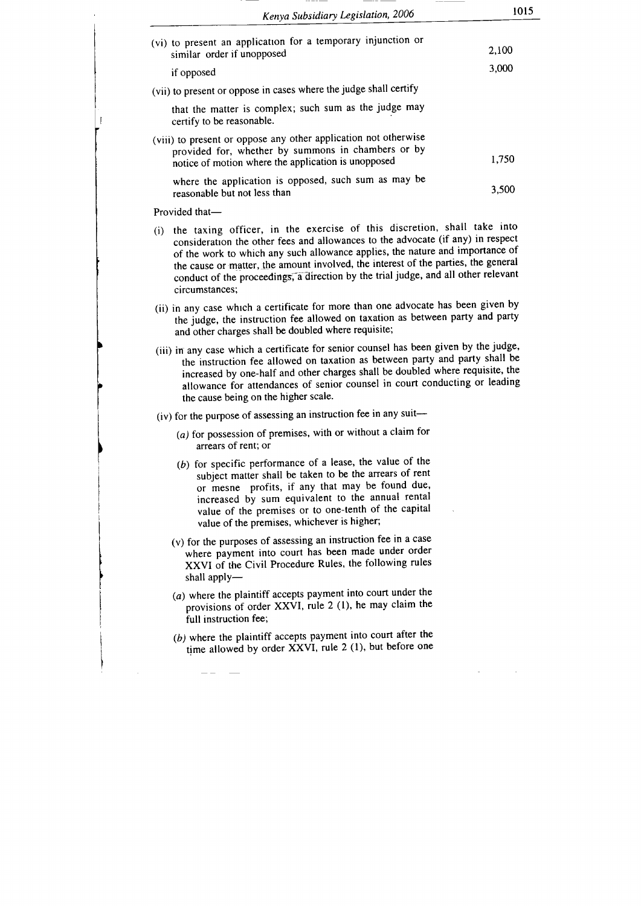| Kenya Subsidiary Legislation, 2006                                                                                                                                                                                                                                                                                                                                                                                                            | 1015  |
|-----------------------------------------------------------------------------------------------------------------------------------------------------------------------------------------------------------------------------------------------------------------------------------------------------------------------------------------------------------------------------------------------------------------------------------------------|-------|
| (vi) to present an application for a temporary injunction or<br>similar order if unopposed                                                                                                                                                                                                                                                                                                                                                    | 2,100 |
| if opposed                                                                                                                                                                                                                                                                                                                                                                                                                                    | 3,000 |
| (vii) to present or oppose in cases where the judge shall certify                                                                                                                                                                                                                                                                                                                                                                             |       |
| that the matter is complex; such sum as the judge may<br>certify to be reasonable.                                                                                                                                                                                                                                                                                                                                                            |       |
| (viii) to present or oppose any other application not otherwise<br>provided for, whether by summons in chambers or by<br>notice of motion where the application is unopposed                                                                                                                                                                                                                                                                  | 1,750 |
| where the application is opposed, such sum as may be<br>reasonable but not less than                                                                                                                                                                                                                                                                                                                                                          | 3,500 |
| Provided that-                                                                                                                                                                                                                                                                                                                                                                                                                                |       |
| (i) the taxing officer, in the exercise of this discretion, shall take into<br>consideration the other fees and allowances to the advocate (if any) in respect<br>of the work to which any such allowance applies, the nature and importance of<br>the cause or matter, the amount involved, the interest of the parties, the general<br>conduct of the proceedings, a direction by the trial judge, and all other relevant<br>circumstances; |       |
| (ii) in any case which a certificate for more than one advocate has been given by<br>the judge, the instruction fee allowed on taxation as between party and party<br>and other charges shall be doubled where requisite;                                                                                                                                                                                                                     |       |
| (iii) in any case which a certificate for senior counsel has been given by the judge,<br>the instruction fee allowed on taxation as between party and party shall be<br>increased by one-half and other charges shall be doubled where requisite, the<br>allowance for attendances of senior counsel in court conducting or leading<br>the cause being on the higher scale.                                                                   |       |
| (iv) for the purpose of assessing an instruction fee in any suit-                                                                                                                                                                                                                                                                                                                                                                             |       |
| $(a)$ for possession of premises, with or without a claim for<br>arrears of rent; or                                                                                                                                                                                                                                                                                                                                                          |       |
| (b) for specific performance of a lease, the value of the<br>subject matter shall be taken to be the arrears of rent<br>or mesne profits, if any that may be found due,<br>increased by sum equivalent to the annual rental<br>value of the premises or to one-tenth of the capital<br>value of the premises, whichever is higher;                                                                                                            |       |
| (v) for the purposes of assessing an instruction fee in a case<br>where payment into court has been made under order<br>XXVI of the Civil Procedure Rules, the following rules<br>shall apply-                                                                                                                                                                                                                                                |       |
| (a) where the plaintiff accepts payment into court under the<br>provisions of order XXVI, rule 2 (1), he may claim the<br>full instruction fee:                                                                                                                                                                                                                                                                                               |       |
|                                                                                                                                                                                                                                                                                                                                                                                                                                               |       |
| (b) where the plaintiff accepts payment into court after the<br>time allowed by order XXVI, rule 2 (1), but before one                                                                                                                                                                                                                                                                                                                        |       |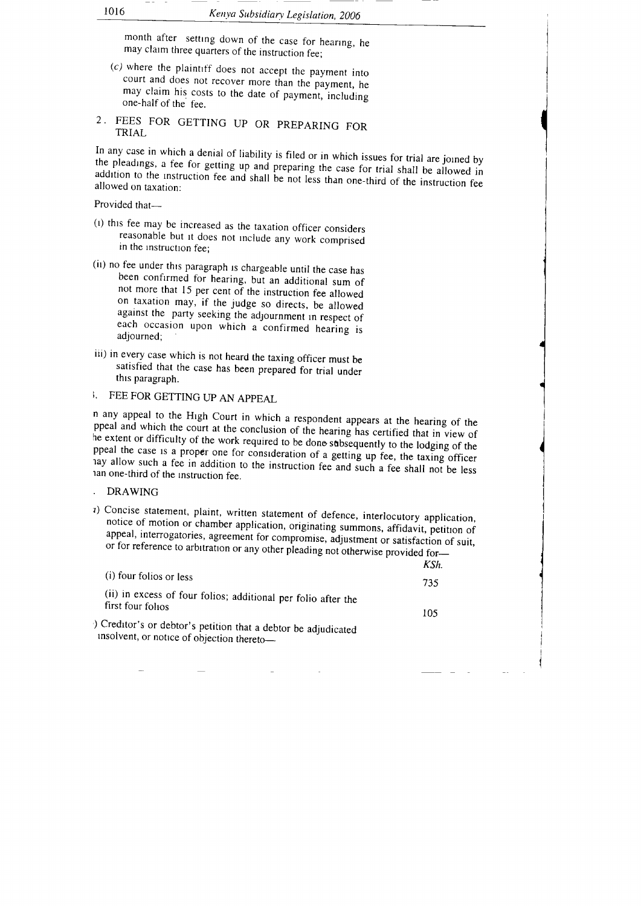month after setting down of the case for hearing, he may claim three quarters of the instruction fee;<br>(c) where the plaintiff does not accept the payment into

- court and does not recover more than the payment, he may claim his costs to the date of payment, including one-half of the fee.
- 2. FEES FOR GETTING UP OR PREPARING FOR TRIAL

In any case in which a denial of liability is filed or in which issues for trial are joined by<br>the pleadings, a fee for getting up and preparing the case for trial shall be allowed in<br>addition to the instruction fee and sh allowed on taxation: addition to the instruction fee and shall be not less than one-third of the instruction fee

Provided that-

- (l) thrs fee may be increased as the taxation officer considers reasonable but rt does not rnclude any work comprised in the rnstructron tee;
- (ii) no. fee under this paragraph is chargeable until the case has been confirmed for hearing, but an additional sum of not more that 15 per cent of the instruction fee allowed on taxation may, if the judge so directs, be on taxarion may, if the judge so direct so direct so direct so against the party seeking the adjournment in respect of each occasion upon which a confirmed hearing is adjourned;
- iii) in every case which is not heard the taxing officer must be satisfied that the case has been prepared for trial under this paragraph.
- I. FEE FOR GETTING UP AN APPEAL

n any appeal to the High Court in which a respondent appears at the hearing of the ppeal and which the court at the conclusion of the hearing has certified that in view of<br>he extent or difficulty of the work required to be done subsequently to the lodging of the ppeal the case is a proper one for consideration of a getting up fee, the taxing officer<br>ay allow such a fee in addition to the instruction fee and such a fee shall not be less<br>an one-third of the instruction fee.

. DRAWING

<sup>2</sup>) Concise statement, plaint, written statement of defence, interlocutory application, notice of motion or chamber application, originating summons, affidavit, petition of appeal, interrogatories, agreement for compromis

|                                                                                                              | KSh. |
|--------------------------------------------------------------------------------------------------------------|------|
| (i) four folios or less                                                                                      | 735  |
| (ii) in excess of four folios; additional per folio after the<br>first four folios                           | 105  |
| ) Creditor's or debtor's petition that a debtor be adjudicated<br>insolvent, or notice of objection thereto- |      |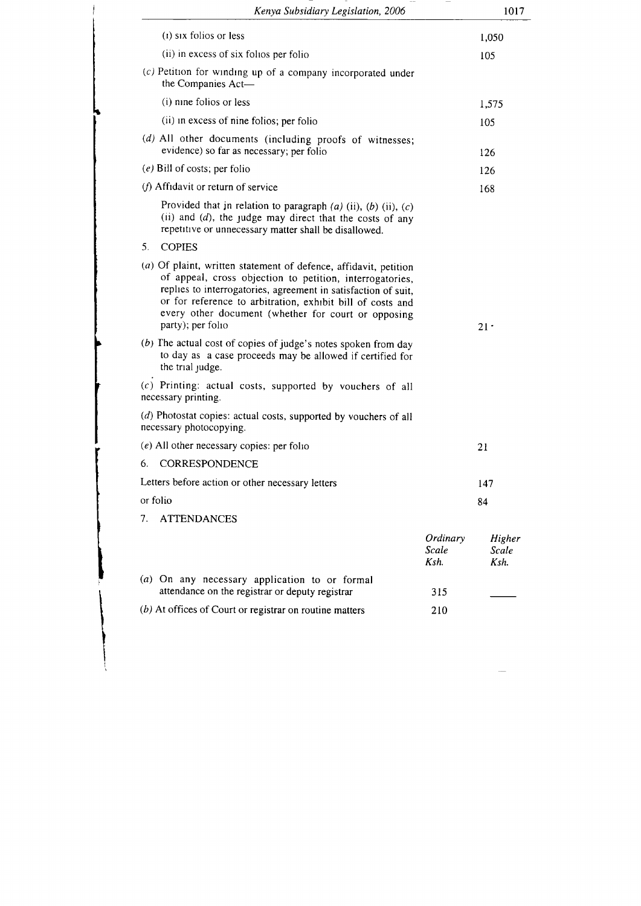| Kenya Subsidiary Legislation, 2006                                                                                                                                                                                                                                                                                                       |                           | 1017                    |
|------------------------------------------------------------------------------------------------------------------------------------------------------------------------------------------------------------------------------------------------------------------------------------------------------------------------------------------|---------------------------|-------------------------|
| $(i)$ six folios or less                                                                                                                                                                                                                                                                                                                 |                           | 1,050                   |
| (ii) in excess of six folios per folio                                                                                                                                                                                                                                                                                                   |                           | 105                     |
| (c) Petition for winding up of a company incorporated under<br>the Companies Act-                                                                                                                                                                                                                                                        |                           |                         |
| (i) nine folios or less                                                                                                                                                                                                                                                                                                                  |                           | 1,575                   |
| (ii) in excess of nine folios; per folio                                                                                                                                                                                                                                                                                                 |                           | 105                     |
| (d) All other documents (including proofs of witnesses;<br>evidence) so far as necessary; per folio                                                                                                                                                                                                                                      |                           | 126                     |
| $(e)$ Bill of costs, per folio                                                                                                                                                                                                                                                                                                           |                           | 126                     |
| (f) Affidavit or return of service                                                                                                                                                                                                                                                                                                       |                           | 168                     |
| Provided that in relation to paragraph $(a)$ (ii), $(b)$ (ii), $(c)$<br>(ii) and $(d)$ , the judge may direct that the costs of any<br>repetitive or unnecessary matter shall be disallowed.                                                                                                                                             |                           |                         |
| 5.<br><b>COPIES</b>                                                                                                                                                                                                                                                                                                                      |                           |                         |
| (a) Of plaint, written statement of defence, affidavit, petition<br>of appeal, cross objection to petition, interrogatories,<br>replies to interrogatories, agreement in satisfaction of suit,<br>or for reference to arbitration, exhibit bill of costs and<br>every other document (whether for court or opposing<br>party); per folio |                           | $21 -$                  |
| (b) The actual cost of copies of judge's notes spoken from day<br>to day as a case proceeds may be allowed if certified for<br>the trial judge.                                                                                                                                                                                          |                           |                         |
| (c) Printing: actual costs, supported by vouchers of all<br>necessary printing.                                                                                                                                                                                                                                                          |                           |                         |
| (d) Photostat copies: actual costs, supported by vouchers of all<br>necessary photocopying.                                                                                                                                                                                                                                              |                           |                         |
| $(e)$ All other necessary copies: per folio                                                                                                                                                                                                                                                                                              |                           | 21                      |
| 6.<br>CORRESPONDENCE                                                                                                                                                                                                                                                                                                                     |                           |                         |
| Letters before action or other necessary letters                                                                                                                                                                                                                                                                                         |                           | 147                     |
| or folio                                                                                                                                                                                                                                                                                                                                 |                           | 84                      |
| 7.<br><b>ATTENDANCES</b>                                                                                                                                                                                                                                                                                                                 |                           |                         |
|                                                                                                                                                                                                                                                                                                                                          | Ordinary<br>Scale<br>Ksh. | Higher<br>Scale<br>Ksh. |
| (a) On any necessary application to or formal<br>attendance on the registrar or deputy registrar                                                                                                                                                                                                                                         | 315                       |                         |
| $(b)$ At offices of Court or registrar on routine matters                                                                                                                                                                                                                                                                                | 210                       |                         |

i i<br>I i

i t

> I I i